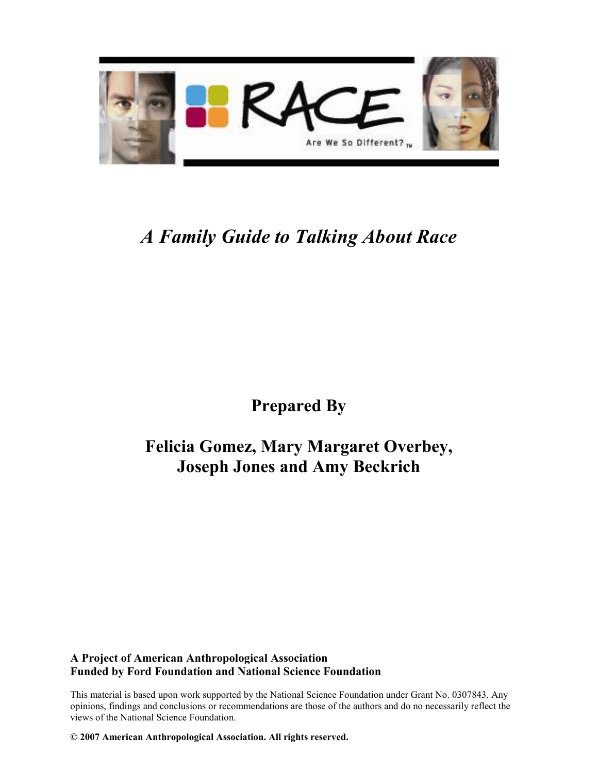

# A Family Guide to Talking About Race

## Prepared By

### Felicia Gomez, Mary Margaret Overbey, Joseph Jones and Amy Beckrich

#### A Project of American Anthropological Association Funded by Ford Foundation and National Science Foundation

This material is based upon work supported by the National Science Foundation under Grant No. 0307843. Any opinions, findings and conclusions or recommendations are those of the authors and do no necessarily reflect the views of the National Science Foundation.

© 2007 American Anthropological Association. All rights reserved.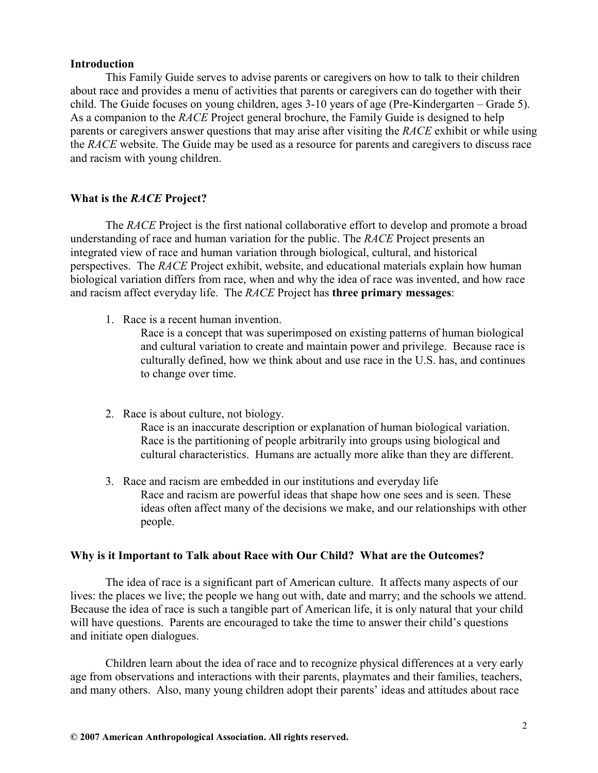#### Introduction

This Family Guide serves to advise parents or caregivers on how to talk to their children about race and provides a menu of activities that parents or caregivers can do together with their child. The Guide focuses on young children, ages 3-10 years of age (Pre-Kindergarten – Grade 5). As a companion to the *RACE* Project general brochure, the Family Guide is designed to help parents or caregivers answer questions that may arise after visiting the RACE exhibit or while using the RACE website. The Guide may be used as a resource for parents and caregivers to discuss race and racism with young children.

#### What is the *RACE* Project?

The RACE Project is the first national collaborative effort to develop and promote a broad understanding of race and human variation for the public. The RACE Project presents an integrated view of race and human variation through biological, cultural, and historical perspectives. The RACE Project exhibit, website, and educational materials explain how human biological variation differs from race, when and why the idea of race was invented, and how race and racism affect everyday life. The RACE Project has three primary messages:

1. Race is a recent human invention.

Race is a concept that was superimposed on existing patterns of human biological and cultural variation to create and maintain power and privilege. Because race is culturally defined, how we think about and use race in the U.S. has, and continues to change over time.

2. Race is about culture, not biology.

Race is an inaccurate description or explanation of human biological variation. Race is the partitioning of people arbitrarily into groups using biological and cultural characteristics. Humans are actually more alike than they are different.

3. Race and racism are embedded in our institutions and everyday life Race and racism are powerful ideas that shape how one sees and is seen. These ideas often affect many of the decisions we make, and our relationships with other people.

#### Why is it Important to Talk about Race with Our Child? What are the Outcomes?

The idea of race is a significant part of American culture. It affects many aspects of our lives: the places we live; the people we hang out with, date and marry; and the schools we attend. Because the idea of race is such a tangible part of American life, it is only natural that your child will have questions. Parents are encouraged to take the time to answer their child's questions and initiate open dialogues.

Children learn about the idea of race and to recognize physical differences at a very early age from observations and interactions with their parents, playmates and their families, teachers, and many others. Also, many young children adopt their parents' ideas and attitudes about race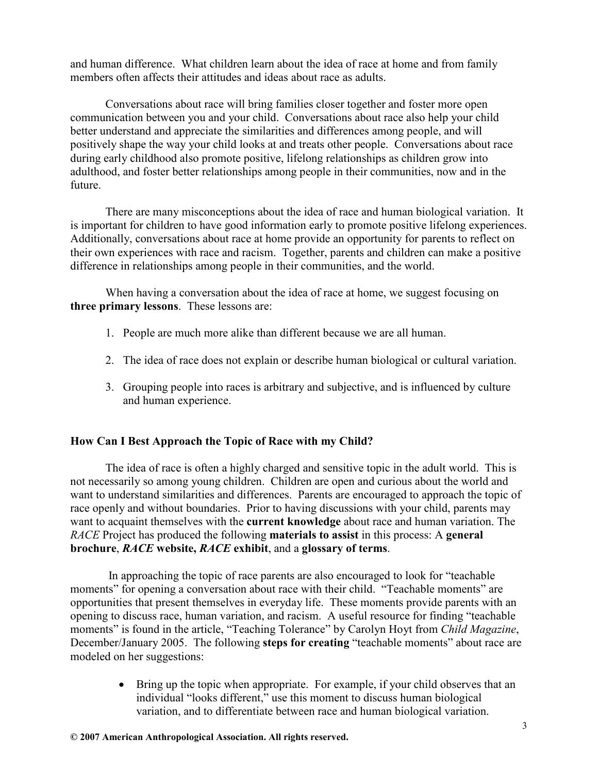and human difference. What children learn about the idea of race at home and from family members often affects their attitudes and ideas about race as adults.

Conversations about race will bring families closer together and foster more open communication between you and your child. Conversations about race also help your child better understand and appreciate the similarities and differences among people, and will positively shape the way your child looks at and treats other people. Conversations about race during early childhood also promote positive, lifelong relationships as children grow into adulthood, and foster better relationships among people in their communities, now and in the future.

There are many misconceptions about the idea of race and human biological variation. It is important for children to have good information early to promote positive lifelong experiences. Additionally, conversations about race at home provide an opportunity for parents to reflect on their own experiences with race and racism. Together, parents and children can make a positive difference in relationships among people in their communities, and the world.

When having a conversation about the idea of race at home, we suggest focusing on three primary lessons. These lessons are:

- 1. People are much more alike than different because we are all human.
- 2. The idea of race does not explain or describe human biological or cultural variation.
- 3. Grouping people into races is arbitrary and subjective, and is influenced by culture and human experience.

#### How Can I Best Approach the Topic of Race with my Child?

The idea of race is often a highly charged and sensitive topic in the adult world. This is not necessarily so among young children. Children are open and curious about the world and want to understand similarities and differences. Parents are encouraged to approach the topic of race openly and without boundaries. Prior to having discussions with your child, parents may want to acquaint themselves with the current knowledge about race and human variation. The RACE Project has produced the following **materials to assist** in this process: A general brochure, RACE website, RACE exhibit, and a glossary of terms.

 In approaching the topic of race parents are also encouraged to look for "teachable moments" for opening a conversation about race with their child. "Teachable moments" are opportunities that present themselves in everyday life. These moments provide parents with an opening to discuss race, human variation, and racism. A useful resource for finding "teachable moments" is found in the article, "Teaching Tolerance" by Carolyn Hoyt from Child Magazine, December/January 2005. The following steps for creating "teachable moments" about race are modeled on her suggestions:

> • Bring up the topic when appropriate. For example, if your child observes that an individual "looks different," use this moment to discuss human biological variation, and to differentiate between race and human biological variation.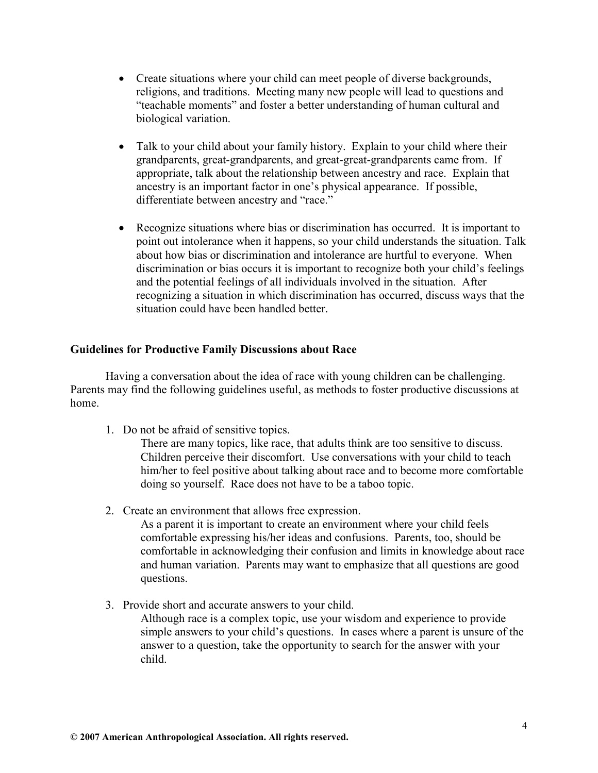- Create situations where your child can meet people of diverse backgrounds, religions, and traditions. Meeting many new people will lead to questions and "teachable moments" and foster a better understanding of human cultural and biological variation.
- Talk to your child about your family history. Explain to your child where their grandparents, great-grandparents, and great-great-grandparents came from. If appropriate, talk about the relationship between ancestry and race. Explain that ancestry is an important factor in one's physical appearance. If possible, differentiate between ancestry and "race."
- Recognize situations where bias or discrimination has occurred. It is important to point out intolerance when it happens, so your child understands the situation. Talk about how bias or discrimination and intolerance are hurtful to everyone. When discrimination or bias occurs it is important to recognize both your child's feelings and the potential feelings of all individuals involved in the situation. After recognizing a situation in which discrimination has occurred, discuss ways that the situation could have been handled better.

#### Guidelines for Productive Family Discussions about Race

 Having a conversation about the idea of race with young children can be challenging. Parents may find the following guidelines useful, as methods to foster productive discussions at home.

1. Do not be afraid of sensitive topics.

There are many topics, like race, that adults think are too sensitive to discuss. Children perceive their discomfort. Use conversations with your child to teach him/her to feel positive about talking about race and to become more comfortable doing so yourself. Race does not have to be a taboo topic.

2. Create an environment that allows free expression.

As a parent it is important to create an environment where your child feels comfortable expressing his/her ideas and confusions. Parents, too, should be comfortable in acknowledging their confusion and limits in knowledge about race and human variation. Parents may want to emphasize that all questions are good questions.

3. Provide short and accurate answers to your child. Although race is a complex topic, use your wisdom and experience to provide simple answers to your child's questions. In cases where a parent is unsure of the answer to a question, take the opportunity to search for the answer with your child.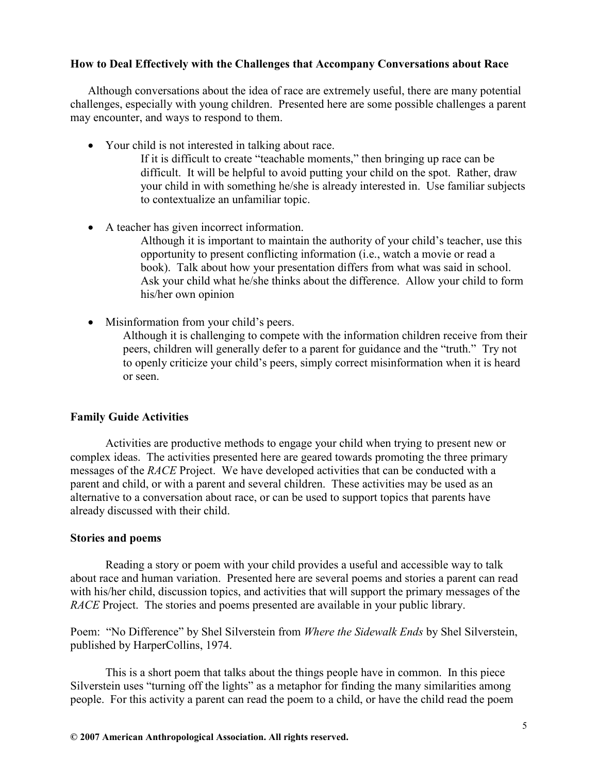#### How to Deal Effectively with the Challenges that Accompany Conversations about Race

Although conversations about the idea of race are extremely useful, there are many potential challenges, especially with young children. Presented here are some possible challenges a parent may encounter, and ways to respond to them.

- Your child is not interested in talking about race.
	- If it is difficult to create "teachable moments," then bringing up race can be difficult. It will be helpful to avoid putting your child on the spot. Rather, draw your child in with something he/she is already interested in. Use familiar subjects to contextualize an unfamiliar topic.
- A teacher has given incorrect information. Although it is important to maintain the authority of your child's teacher, use this opportunity to present conflicting information (i.e., watch a movie or read a book). Talk about how your presentation differs from what was said in school. Ask your child what he/she thinks about the difference. Allow your child to form his/her own opinion
- Misinformation from your child's peers.
	- Although it is challenging to compete with the information children receive from their peers, children will generally defer to a parent for guidance and the "truth." Try not to openly criticize your child's peers, simply correct misinformation when it is heard or seen.

#### Family Guide Activities

Activities are productive methods to engage your child when trying to present new or complex ideas. The activities presented here are geared towards promoting the three primary messages of the RACE Project. We have developed activities that can be conducted with a parent and child, or with a parent and several children. These activities may be used as an alternative to a conversation about race, or can be used to support topics that parents have already discussed with their child.

#### Stories and poems

Reading a story or poem with your child provides a useful and accessible way to talk about race and human variation. Presented here are several poems and stories a parent can read with his/her child, discussion topics, and activities that will support the primary messages of the RACE Project. The stories and poems presented are available in your public library.

Poem: "No Difference" by Shel Silverstein from Where the Sidewalk Ends by Shel Silverstein, published by HarperCollins, 1974.

This is a short poem that talks about the things people have in common. In this piece Silverstein uses "turning off the lights" as a metaphor for finding the many similarities among people. For this activity a parent can read the poem to a child, or have the child read the poem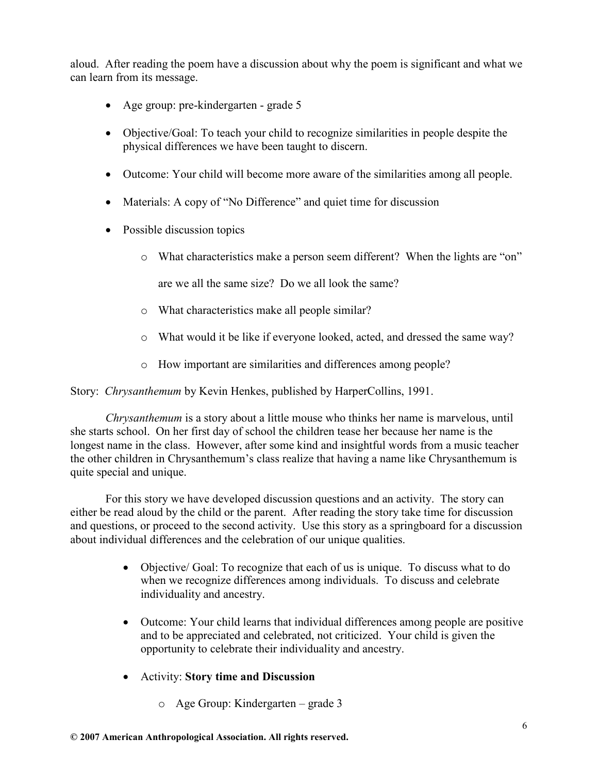aloud. After reading the poem have a discussion about why the poem is significant and what we can learn from its message.

- Age group: pre-kindergarten grade 5
- Objective/Goal: To teach your child to recognize similarities in people despite the physical differences we have been taught to discern.
- Outcome: Your child will become more aware of the similarities among all people.
- Materials: A copy of "No Difference" and quiet time for discussion
- Possible discussion topics
	- o What characteristics make a person seem different? When the lights are "on"

are we all the same size? Do we all look the same?

- o What characteristics make all people similar?
- o What would it be like if everyone looked, acted, and dressed the same way?
- o How important are similarities and differences among people?

Story: Chrysanthemum by Kevin Henkes, published by HarperCollins, 1991.

Chrysanthemum is a story about a little mouse who thinks her name is marvelous, until she starts school. On her first day of school the children tease her because her name is the longest name in the class. However, after some kind and insightful words from a music teacher the other children in Chrysanthemum's class realize that having a name like Chrysanthemum is quite special and unique.

For this story we have developed discussion questions and an activity. The story can either be read aloud by the child or the parent. After reading the story take time for discussion and questions, or proceed to the second activity. Use this story as a springboard for a discussion about individual differences and the celebration of our unique qualities.

- Objective/ Goal: To recognize that each of us is unique. To discuss what to do when we recognize differences among individuals. To discuss and celebrate individuality and ancestry.
- Outcome: Your child learns that individual differences among people are positive and to be appreciated and celebrated, not criticized. Your child is given the opportunity to celebrate their individuality and ancestry.
- Activity: Story time and Discussion
	- o Age Group: Kindergarten grade 3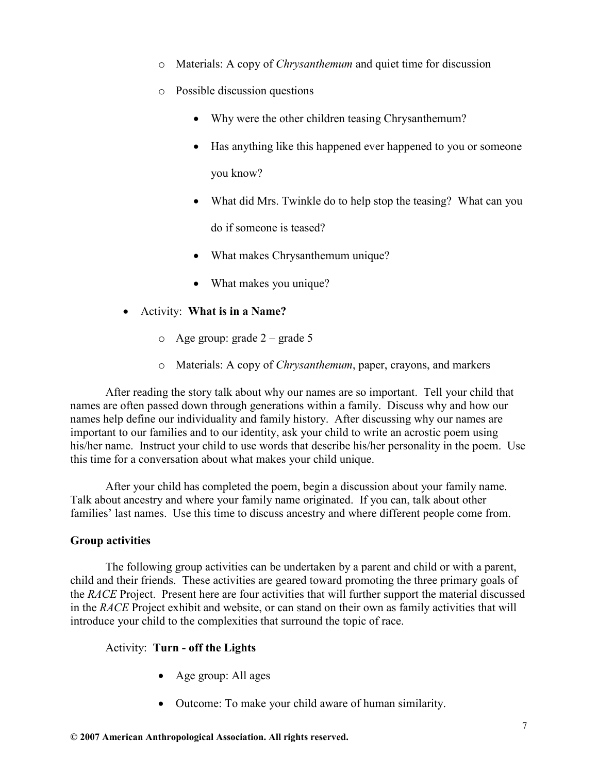- o Materials: A copy of Chrysanthemum and quiet time for discussion
- o Possible discussion questions
	- Why were the other children teasing Chrysanthemum?
	- Has anything like this happened ever happened to you or someone you know?
	- What did Mrs. Twinkle do to help stop the teasing? What can you do if someone is teased?
	- What makes Chrysanthemum unique?
	- What makes you unique?
- Activity: What is in a Name?
	- o Age group: grade 2 grade 5
	- o Materials: A copy of Chrysanthemum, paper, crayons, and markers

After reading the story talk about why our names are so important. Tell your child that names are often passed down through generations within a family. Discuss why and how our names help define our individuality and family history. After discussing why our names are important to our families and to our identity, ask your child to write an acrostic poem using his/her name. Instruct your child to use words that describe his/her personality in the poem. Use this time for a conversation about what makes your child unique.

After your child has completed the poem, begin a discussion about your family name. Talk about ancestry and where your family name originated. If you can, talk about other families' last names. Use this time to discuss ancestry and where different people come from.

#### Group activities

The following group activities can be undertaken by a parent and child or with a parent, child and their friends. These activities are geared toward promoting the three primary goals of the RACE Project. Present here are four activities that will further support the material discussed in the RACE Project exhibit and website, or can stand on their own as family activities that will introduce your child to the complexities that surround the topic of race.

#### Activity: Turn - off the Lights

- Age group: All ages
- Outcome: To make your child aware of human similarity.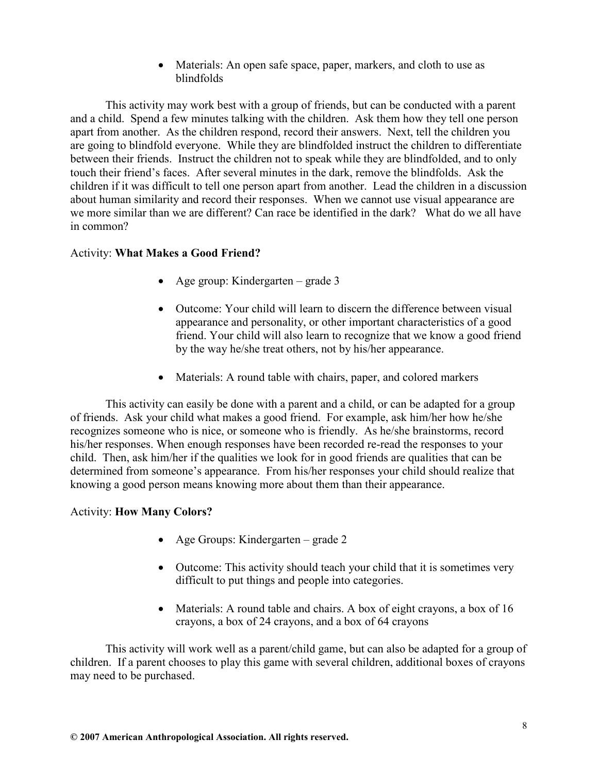• Materials: An open safe space, paper, markers, and cloth to use as blindfolds

This activity may work best with a group of friends, but can be conducted with a parent and a child. Spend a few minutes talking with the children. Ask them how they tell one person apart from another. As the children respond, record their answers. Next, tell the children you are going to blindfold everyone. While they are blindfolded instruct the children to differentiate between their friends. Instruct the children not to speak while they are blindfolded, and to only touch their friend's faces. After several minutes in the dark, remove the blindfolds. Ask the children if it was difficult to tell one person apart from another. Lead the children in a discussion about human similarity and record their responses. When we cannot use visual appearance are we more similar than we are different? Can race be identified in the dark? What do we all have in common?

#### Activity: What Makes a Good Friend?

- Age group: Kindergarten grade 3
- Outcome: Your child will learn to discern the difference between visual appearance and personality, or other important characteristics of a good friend. Your child will also learn to recognize that we know a good friend by the way he/she treat others, not by his/her appearance.
- Materials: A round table with chairs, paper, and colored markers

This activity can easily be done with a parent and a child, or can be adapted for a group of friends. Ask your child what makes a good friend. For example, ask him/her how he/she recognizes someone who is nice, or someone who is friendly. As he/she brainstorms, record his/her responses. When enough responses have been recorded re-read the responses to your child. Then, ask him/her if the qualities we look for in good friends are qualities that can be determined from someone's appearance. From his/her responses your child should realize that knowing a good person means knowing more about them than their appearance.

#### Activity: How Many Colors?

- Age Groups: Kindergarten grade 2
- Outcome: This activity should teach your child that it is sometimes very difficult to put things and people into categories.
- Materials: A round table and chairs. A box of eight crayons, a box of 16 crayons, a box of 24 crayons, and a box of 64 crayons

This activity will work well as a parent/child game, but can also be adapted for a group of children. If a parent chooses to play this game with several children, additional boxes of crayons may need to be purchased.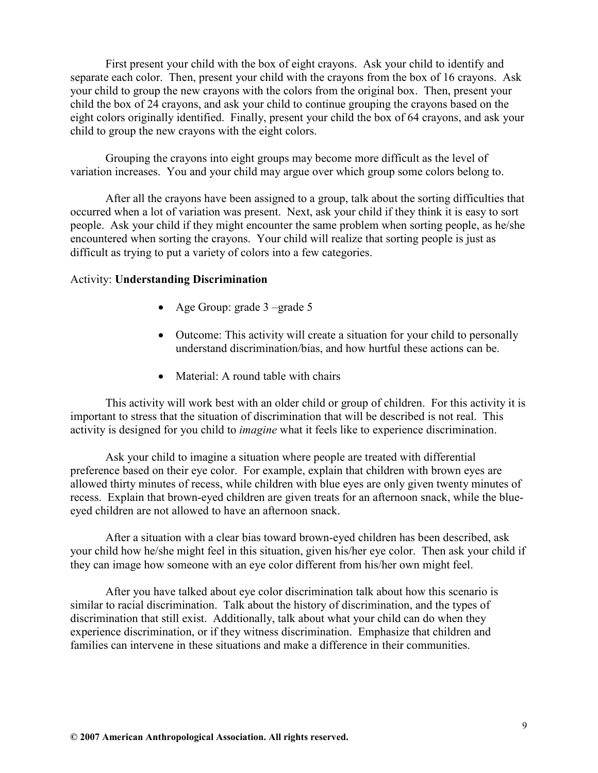First present your child with the box of eight crayons. Ask your child to identify and separate each color. Then, present your child with the crayons from the box of 16 crayons. Ask your child to group the new crayons with the colors from the original box. Then, present your child the box of 24 crayons, and ask your child to continue grouping the crayons based on the eight colors originally identified. Finally, present your child the box of 64 crayons, and ask your child to group the new crayons with the eight colors.

Grouping the crayons into eight groups may become more difficult as the level of variation increases. You and your child may argue over which group some colors belong to.

After all the crayons have been assigned to a group, talk about the sorting difficulties that occurred when a lot of variation was present. Next, ask your child if they think it is easy to sort people. Ask your child if they might encounter the same problem when sorting people, as he/she encountered when sorting the crayons. Your child will realize that sorting people is just as difficult as trying to put a variety of colors into a few categories.

#### Activity: Understanding Discrimination

- Age Group: grade 3 –grade 5
- Outcome: This activity will create a situation for your child to personally understand discrimination/bias, and how hurtful these actions can be.
- Material: A round table with chairs

This activity will work best with an older child or group of children. For this activity it is important to stress that the situation of discrimination that will be described is not real. This activity is designed for you child to imagine what it feels like to experience discrimination.

Ask your child to imagine a situation where people are treated with differential preference based on their eye color. For example, explain that children with brown eyes are allowed thirty minutes of recess, while children with blue eyes are only given twenty minutes of recess. Explain that brown-eyed children are given treats for an afternoon snack, while the blueeyed children are not allowed to have an afternoon snack.

After a situation with a clear bias toward brown-eyed children has been described, ask your child how he/she might feel in this situation, given his/her eye color. Then ask your child if they can image how someone with an eye color different from his/her own might feel.

After you have talked about eye color discrimination talk about how this scenario is similar to racial discrimination. Talk about the history of discrimination, and the types of discrimination that still exist. Additionally, talk about what your child can do when they experience discrimination, or if they witness discrimination. Emphasize that children and families can intervene in these situations and make a difference in their communities.